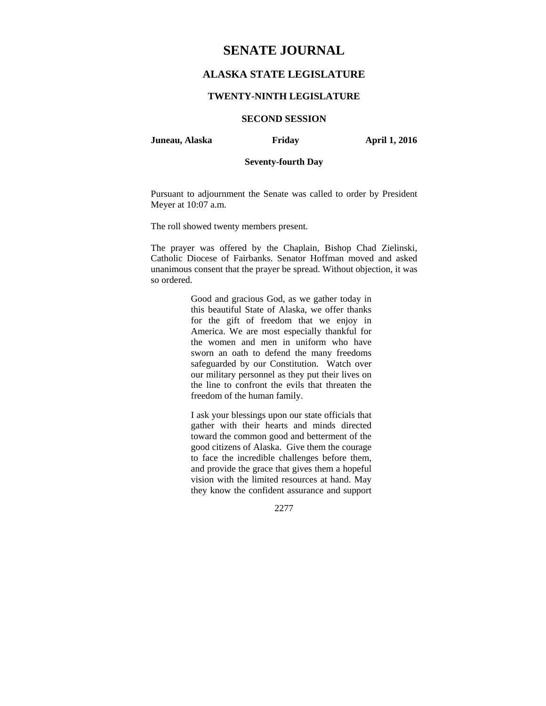# **SENATE JOURNAL**

# **ALASKA STATE LEGISLATURE**

### **TWENTY-NINTH LEGISLATURE**

### **SECOND SESSION**

**Juneau, Alaska Friday April 1, 2016** 

### **Seventy-fourth Day**

Pursuant to adjournment the Senate was called to order by President Meyer at 10:07 a.m.

The roll showed twenty members present.

The prayer was offered by the Chaplain, Bishop Chad Zielinski, Catholic Diocese of Fairbanks. Senator Hoffman moved and asked unanimous consent that the prayer be spread. Without objection, it was so ordered.

> Good and gracious God, as we gather today in this beautiful State of Alaska, we offer thanks for the gift of freedom that we enjoy in America. We are most especially thankful for the women and men in uniform who have sworn an oath to defend the many freedoms safeguarded by our Constitution. Watch over our military personnel as they put their lives on the line to confront the evils that threaten the freedom of the human family.

> I ask your blessings upon our state officials that gather with their hearts and minds directed toward the common good and betterment of the good citizens of Alaska. Give them the courage to face the incredible challenges before them, and provide the grace that gives them a hopeful vision with the limited resources at hand. May they know the confident assurance and support

> > 2277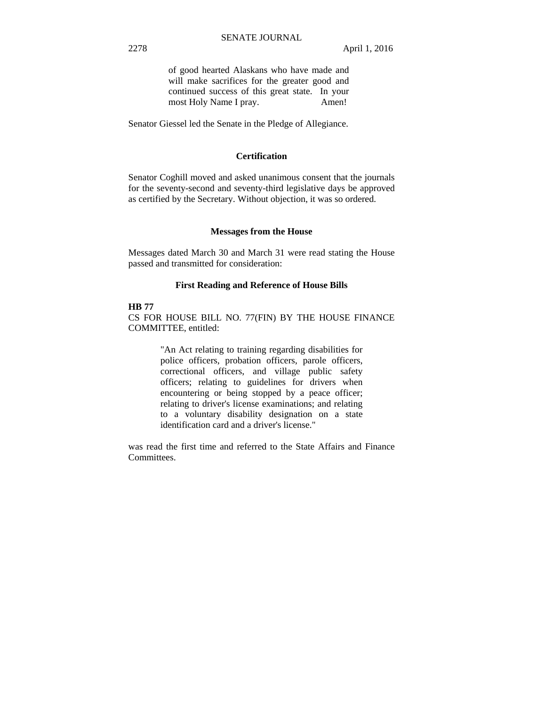of good hearted Alaskans who have made and will make sacrifices for the greater good and continued success of this great state. In your most Holy Name I pray. Amen!

Senator Giessel led the Senate in the Pledge of Allegiance.

### **Certification**

Senator Coghill moved and asked unanimous consent that the journals for the seventy-second and seventy-third legislative days be approved as certified by the Secretary. Without objection, it was so ordered.

### **Messages from the House**

Messages dated March 30 and March 31 were read stating the House passed and transmitted for consideration:

### **First Reading and Reference of House Bills**

### **HB 77**

CS FOR HOUSE BILL NO. 77(FIN) BY THE HOUSE FINANCE COMMITTEE, entitled:

> "An Act relating to training regarding disabilities for police officers, probation officers, parole officers, correctional officers, and village public safety officers; relating to guidelines for drivers when encountering or being stopped by a peace officer; relating to driver's license examinations; and relating to a voluntary disability designation on a state identification card and a driver's license."

was read the first time and referred to the State Affairs and Finance Committees.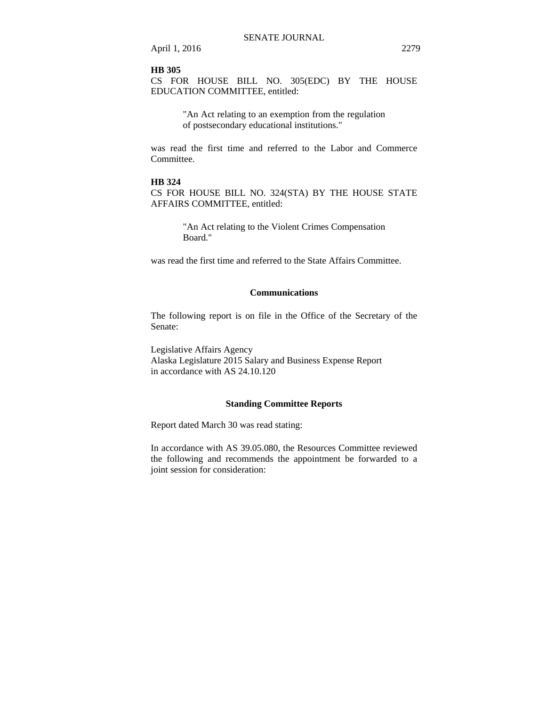### **HB 305**

CS FOR HOUSE BILL NO. 305(EDC) BY THE HOUSE EDUCATION COMMITTEE, entitled:

> "An Act relating to an exemption from the regulation of postsecondary educational institutions."

was read the first time and referred to the Labor and Commerce Committee.

### **HB 324**

CS FOR HOUSE BILL NO. 324(STA) BY THE HOUSE STATE AFFAIRS COMMITTEE, entitled:

> "An Act relating to the Violent Crimes Compensation Board."

was read the first time and referred to the State Affairs Committee.

### **Communications**

The following report is on file in the Office of the Secretary of the Senate:

Legislative Affairs Agency Alaska Legislature 2015 Salary and Business Expense Report in accordance with AS 24.10.120

### **Standing Committee Reports**

Report dated March 30 was read stating:

In accordance with AS 39.05.080, the Resources Committee reviewed the following and recommends the appointment be forwarded to a joint session for consideration: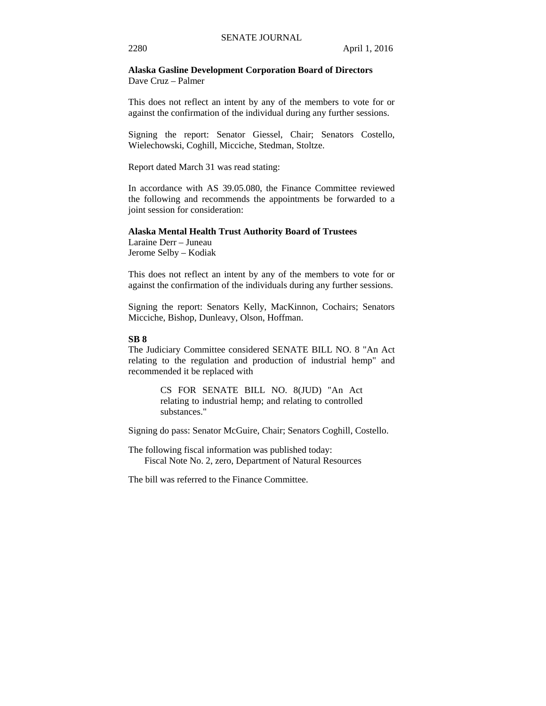**Alaska Gasline Development Corporation Board of Directors**  Dave Cruz – Palmer

This does not reflect an intent by any of the members to vote for or against the confirmation of the individual during any further sessions.

Signing the report: Senator Giessel, Chair; Senators Costello, Wielechowski, Coghill, Micciche, Stedman, Stoltze.

Report dated March 31 was read stating:

In accordance with AS 39.05.080, the Finance Committee reviewed the following and recommends the appointments be forwarded to a joint session for consideration:

# **Alaska Mental Health Trust Authority Board of Trustees**

Laraine Derr – Juneau Jerome Selby – Kodiak

This does not reflect an intent by any of the members to vote for or against the confirmation of the individuals during any further sessions.

Signing the report: Senators Kelly, MacKinnon, Cochairs; Senators Micciche, Bishop, Dunleavy, Olson, Hoffman.

### **SB 8**

The Judiciary Committee considered SENATE BILL NO. 8 "An Act relating to the regulation and production of industrial hemp" and recommended it be replaced with

> CS FOR SENATE BILL NO. 8(JUD) "An Act relating to industrial hemp; and relating to controlled substances."

Signing do pass: Senator McGuire, Chair; Senators Coghill, Costello.

The following fiscal information was published today: Fiscal Note No. 2, zero, Department of Natural Resources

The bill was referred to the Finance Committee.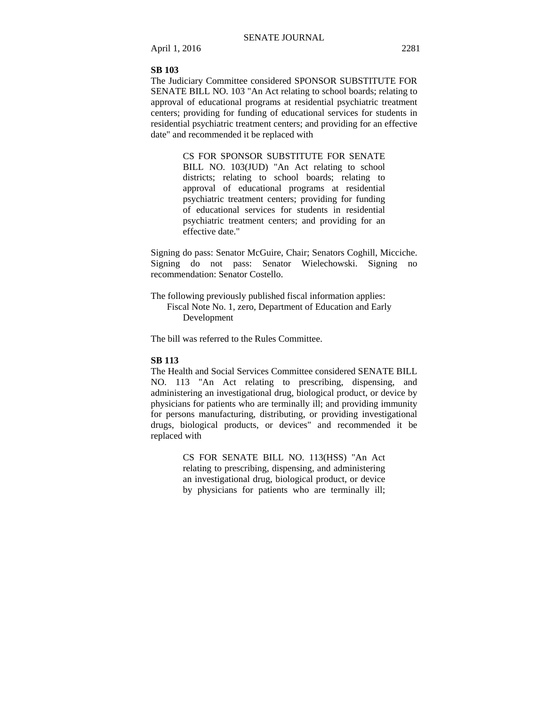April 1, 2016 2281

### **SB 103**

The Judiciary Committee considered SPONSOR SUBSTITUTE FOR SENATE BILL NO. 103 "An Act relating to school boards; relating to approval of educational programs at residential psychiatric treatment centers; providing for funding of educational services for students in residential psychiatric treatment centers; and providing for an effective date" and recommended it be replaced with

> CS FOR SPONSOR SUBSTITUTE FOR SENATE BILL NO. 103(JUD) "An Act relating to school districts; relating to school boards; relating to approval of educational programs at residential psychiatric treatment centers; providing for funding of educational services for students in residential psychiatric treatment centers; and providing for an effective date."

Signing do pass: Senator McGuire, Chair; Senators Coghill, Micciche. Signing do not pass: Senator Wielechowski. Signing no recommendation: Senator Costello.

The following previously published fiscal information applies: Fiscal Note No. 1, zero, Department of Education and Early Development

The bill was referred to the Rules Committee.

### **SB 113**

The Health and Social Services Committee considered SENATE BILL NO. 113 "An Act relating to prescribing, dispensing, and administering an investigational drug, biological product, or device by physicians for patients who are terminally ill; and providing immunity for persons manufacturing, distributing, or providing investigational drugs, biological products, or devices" and recommended it be replaced with

> CS FOR SENATE BILL NO. 113(HSS) "An Act relating to prescribing, dispensing, and administering an investigational drug, biological product, or device by physicians for patients who are terminally ill;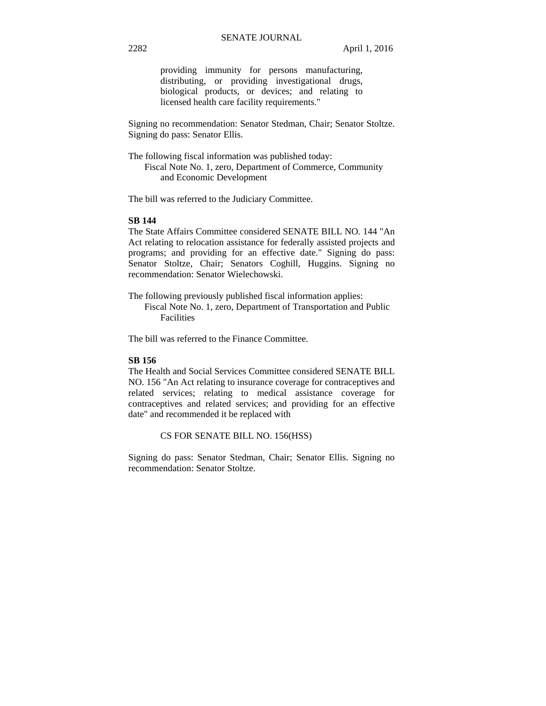providing immunity for persons manufacturing, distributing, or providing investigational drugs, biological products, or devices; and relating to licensed health care facility requirements."

Signing no recommendation: Senator Stedman, Chair; Senator Stoltze. Signing do pass: Senator Ellis.

The following fiscal information was published today: Fiscal Note No. 1, zero, Department of Commerce, Community and Economic Development

The bill was referred to the Judiciary Committee.

### **SB 144**

The State Affairs Committee considered SENATE BILL NO. 144 "An Act relating to relocation assistance for federally assisted projects and programs; and providing for an effective date." Signing do pass: Senator Stoltze, Chair; Senators Coghill, Huggins. Signing no recommendation: Senator Wielechowski.

The following previously published fiscal information applies:

Fiscal Note No. 1, zero, Department of Transportation and Public Facilities

The bill was referred to the Finance Committee.

### **SB 156**

The Health and Social Services Committee considered SENATE BILL NO. 156 "An Act relating to insurance coverage for contraceptives and related services; relating to medical assistance coverage for contraceptives and related services; and providing for an effective date" and recommended it be replaced with

CS FOR SENATE BILL NO. 156(HSS)

Signing do pass: Senator Stedman, Chair; Senator Ellis. Signing no recommendation: Senator Stoltze.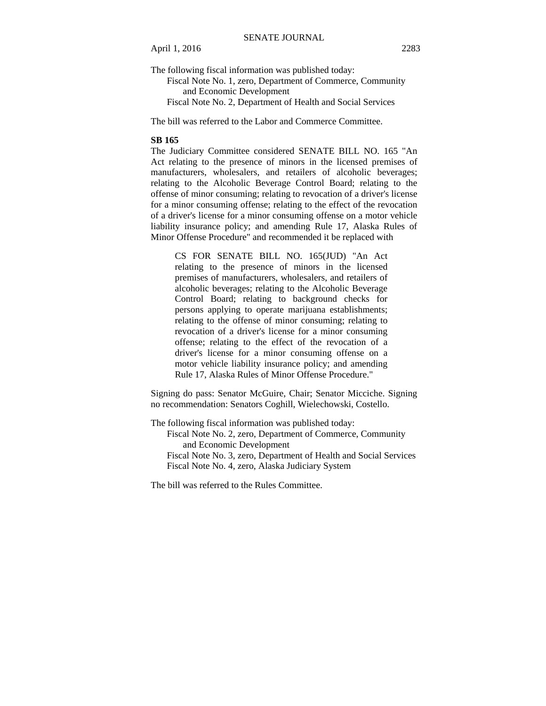The following fiscal information was published today:

Fiscal Note No. 1, zero, Department of Commerce, Community and Economic Development

Fiscal Note No. 2, Department of Health and Social Services

The bill was referred to the Labor and Commerce Committee.

### **SB 165**

The Judiciary Committee considered SENATE BILL NO. 165 "An Act relating to the presence of minors in the licensed premises of manufacturers, wholesalers, and retailers of alcoholic beverages; relating to the Alcoholic Beverage Control Board; relating to the offense of minor consuming; relating to revocation of a driver's license for a minor consuming offense; relating to the effect of the revocation of a driver's license for a minor consuming offense on a motor vehicle liability insurance policy; and amending Rule 17, Alaska Rules of Minor Offense Procedure" and recommended it be replaced with

CS FOR SENATE BILL NO. 165(JUD) "An Act relating to the presence of minors in the licensed premises of manufacturers, wholesalers, and retailers of alcoholic beverages; relating to the Alcoholic Beverage Control Board; relating to background checks for persons applying to operate marijuana establishments; relating to the offense of minor consuming; relating to revocation of a driver's license for a minor consuming offense; relating to the effect of the revocation of a driver's license for a minor consuming offense on a motor vehicle liability insurance policy; and amending Rule 17, Alaska Rules of Minor Offense Procedure."

Signing do pass: Senator McGuire, Chair; Senator Micciche. Signing no recommendation: Senators Coghill, Wielechowski, Costello.

The following fiscal information was published today: Fiscal Note No. 2, zero, Department of Commerce, Community and Economic Development Fiscal Note No. 3, zero, Department of Health and Social Services Fiscal Note No. 4, zero, Alaska Judiciary System

The bill was referred to the Rules Committee.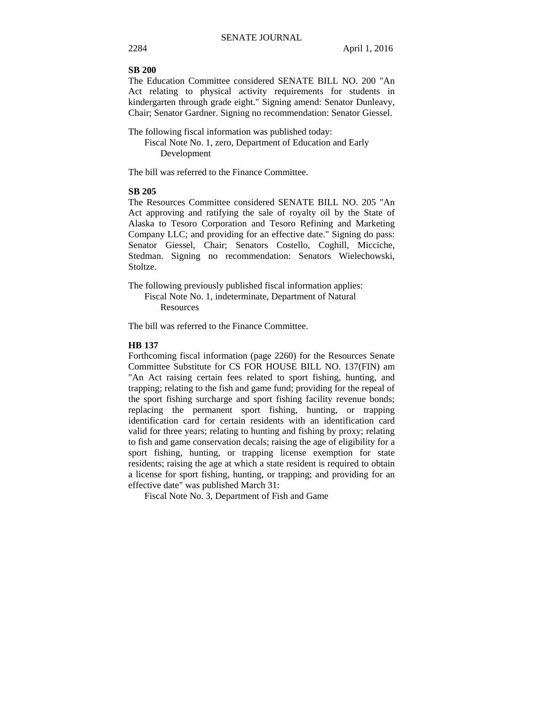### **SB 200**

The Education Committee considered SENATE BILL NO. 200 "An Act relating to physical activity requirements for students in kindergarten through grade eight." Signing amend: Senator Dunleavy, Chair; Senator Gardner. Signing no recommendation: Senator Giessel.

The following fiscal information was published today:

Fiscal Note No. 1, zero, Department of Education and Early Development

The bill was referred to the Finance Committee.

### **SB 205**

The Resources Committee considered SENATE BILL NO. 205 "An Act approving and ratifying the sale of royalty oil by the State of Alaska to Tesoro Corporation and Tesoro Refining and Marketing Company LLC; and providing for an effective date." Signing do pass: Senator Giessel, Chair; Senators Costello, Coghill, Micciche, Stedman. Signing no recommendation: Senators Wielechowski, Stoltze.

The following previously published fiscal information applies: Fiscal Note No. 1, indeterminate, Department of Natural Resources

The bill was referred to the Finance Committee.

### **HB 137**

Forthcoming fiscal information (page 2260) for the Resources Senate Committee Substitute for CS FOR HOUSE BILL NO. 137(FIN) am "An Act raising certain fees related to sport fishing, hunting, and trapping; relating to the fish and game fund; providing for the repeal of the sport fishing surcharge and sport fishing facility revenue bonds; replacing the permanent sport fishing, hunting, or trapping identification card for certain residents with an identification card valid for three years; relating to hunting and fishing by proxy; relating to fish and game conservation decals; raising the age of eligibility for a sport fishing, hunting, or trapping license exemption for state residents; raising the age at which a state resident is required to obtain a license for sport fishing, hunting, or trapping; and providing for an effective date" was published March 31:

Fiscal Note No. 3, Department of Fish and Game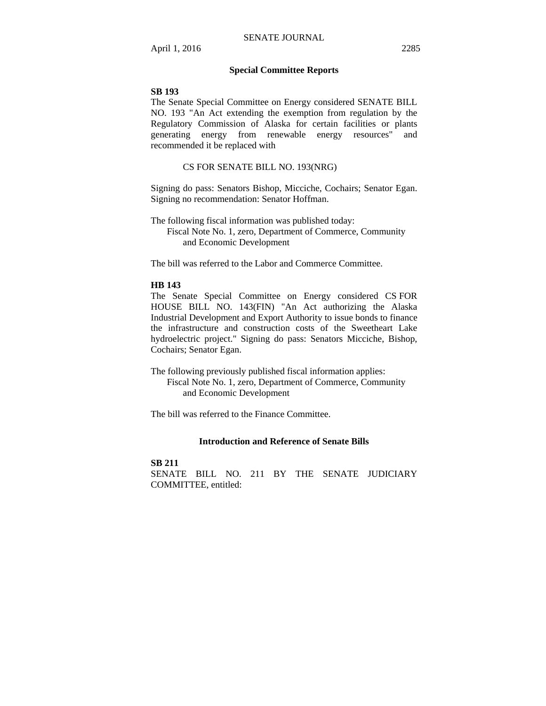### **Special Committee Reports**

### **SB 193**

The Senate Special Committee on Energy considered SENATE BILL NO. 193 "An Act extending the exemption from regulation by the Regulatory Commission of Alaska for certain facilities or plants generating energy from renewable energy resources" and recommended it be replaced with

### CS FOR SENATE BILL NO. 193(NRG)

Signing do pass: Senators Bishop, Micciche, Cochairs; Senator Egan. Signing no recommendation: Senator Hoffman.

The following fiscal information was published today:

Fiscal Note No. 1, zero, Department of Commerce, Community and Economic Development

The bill was referred to the Labor and Commerce Committee.

### **HB 143**

The Senate Special Committee on Energy considered CS FOR HOUSE BILL NO. 143(FIN) "An Act authorizing the Alaska Industrial Development and Export Authority to issue bonds to finance the infrastructure and construction costs of the Sweetheart Lake hydroelectric project." Signing do pass: Senators Micciche, Bishop, Cochairs; Senator Egan.

The following previously published fiscal information applies: Fiscal Note No. 1, zero, Department of Commerce, Community and Economic Development

The bill was referred to the Finance Committee.

### **Introduction and Reference of Senate Bills**

### **SB 211** SENATE BILL NO. 211 BY THE SENATE JUDICIARY COMMITTEE, entitled: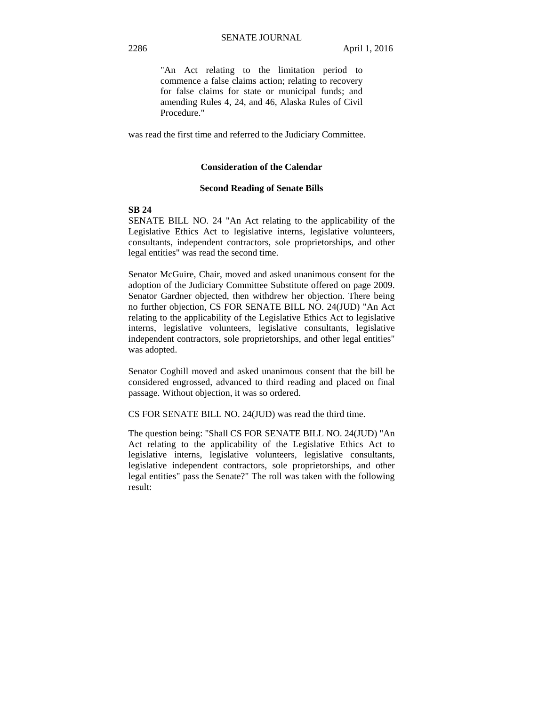"An Act relating to the limitation period to commence a false claims action; relating to recovery for false claims for state or municipal funds; and amending Rules 4, 24, and 46, Alaska Rules of Civil Procedure."

was read the first time and referred to the Judiciary Committee.

### **Consideration of the Calendar**

### **Second Reading of Senate Bills**

### **SB 24**

SENATE BILL NO. 24 "An Act relating to the applicability of the Legislative Ethics Act to legislative interns, legislative volunteers, consultants, independent contractors, sole proprietorships, and other legal entities" was read the second time.

Senator McGuire, Chair, moved and asked unanimous consent for the adoption of the Judiciary Committee Substitute offered on page 2009. Senator Gardner objected, then withdrew her objection. There being no further objection, CS FOR SENATE BILL NO. 24(JUD) "An Act relating to the applicability of the Legislative Ethics Act to legislative interns, legislative volunteers, legislative consultants, legislative independent contractors, sole proprietorships, and other legal entities" was adopted.

Senator Coghill moved and asked unanimous consent that the bill be considered engrossed, advanced to third reading and placed on final passage. Without objection, it was so ordered.

CS FOR SENATE BILL NO. 24(JUD) was read the third time.

The question being: "Shall CS FOR SENATE BILL NO. 24(JUD) "An Act relating to the applicability of the Legislative Ethics Act to legislative interns, legislative volunteers, legislative consultants, legislative independent contractors, sole proprietorships, and other legal entities" pass the Senate?" The roll was taken with the following result: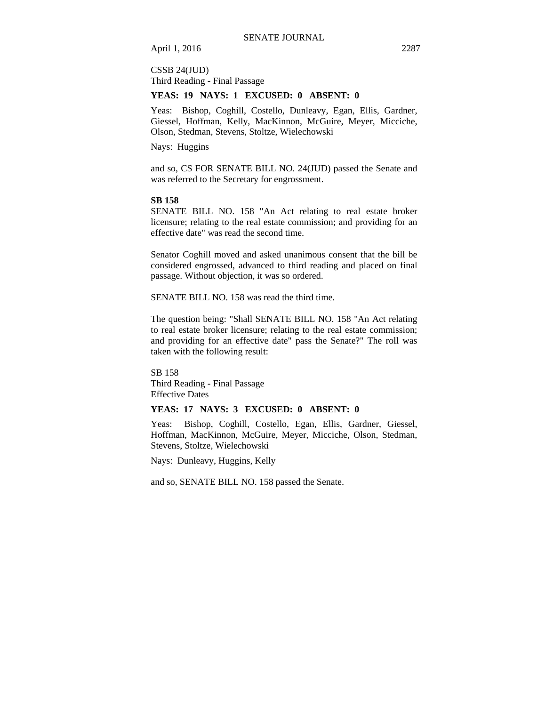### CSSB 24(JUD) Third Reading - Final Passage

### **YEAS: 19 NAYS: 1 EXCUSED: 0 ABSENT: 0**

Yeas: Bishop, Coghill, Costello, Dunleavy, Egan, Ellis, Gardner, Giessel, Hoffman, Kelly, MacKinnon, McGuire, Meyer, Micciche, Olson, Stedman, Stevens, Stoltze, Wielechowski

Nays: Huggins

and so, CS FOR SENATE BILL NO. 24(JUD) passed the Senate and was referred to the Secretary for engrossment.

### **SB 158**

SENATE BILL NO. 158 "An Act relating to real estate broker licensure; relating to the real estate commission; and providing for an effective date" was read the second time.

Senator Coghill moved and asked unanimous consent that the bill be considered engrossed, advanced to third reading and placed on final passage. Without objection, it was so ordered.

SENATE BILL NO. 158 was read the third time.

The question being: "Shall SENATE BILL NO. 158 "An Act relating to real estate broker licensure; relating to the real estate commission; and providing for an effective date" pass the Senate?" The roll was taken with the following result:

SB 158 Third Reading - Final Passage Effective Dates

### **YEAS: 17 NAYS: 3 EXCUSED: 0 ABSENT: 0**

Yeas: Bishop, Coghill, Costello, Egan, Ellis, Gardner, Giessel, Hoffman, MacKinnon, McGuire, Meyer, Micciche, Olson, Stedman, Stevens, Stoltze, Wielechowski

Nays: Dunleavy, Huggins, Kelly

and so, SENATE BILL NO. 158 passed the Senate.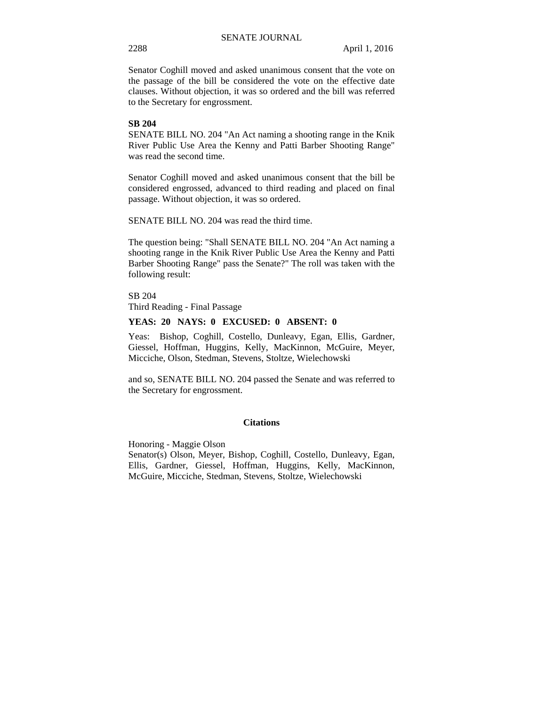Senator Coghill moved and asked unanimous consent that the vote on the passage of the bill be considered the vote on the effective date clauses. Without objection, it was so ordered and the bill was referred to the Secretary for engrossment.

### **SB 204**

SENATE BILL NO. 204 "An Act naming a shooting range in the Knik River Public Use Area the Kenny and Patti Barber Shooting Range" was read the second time.

Senator Coghill moved and asked unanimous consent that the bill be considered engrossed, advanced to third reading and placed on final passage. Without objection, it was so ordered.

SENATE BILL NO. 204 was read the third time.

The question being: "Shall SENATE BILL NO. 204 "An Act naming a shooting range in the Knik River Public Use Area the Kenny and Patti Barber Shooting Range" pass the Senate?" The roll was taken with the following result:

SB 204 Third Reading - Final Passage

### **YEAS: 20 NAYS: 0 EXCUSED: 0 ABSENT: 0**

Yeas: Bishop, Coghill, Costello, Dunleavy, Egan, Ellis, Gardner, Giessel, Hoffman, Huggins, Kelly, MacKinnon, McGuire, Meyer, Micciche, Olson, Stedman, Stevens, Stoltze, Wielechowski

and so, SENATE BILL NO. 204 passed the Senate and was referred to the Secretary for engrossment.

### **Citations**

Honoring - Maggie Olson Senator(s) Olson, Meyer, Bishop, Coghill, Costello, Dunleavy, Egan, Ellis, Gardner, Giessel, Hoffman, Huggins, Kelly, MacKinnon, McGuire, Micciche, Stedman, Stevens, Stoltze, Wielechowski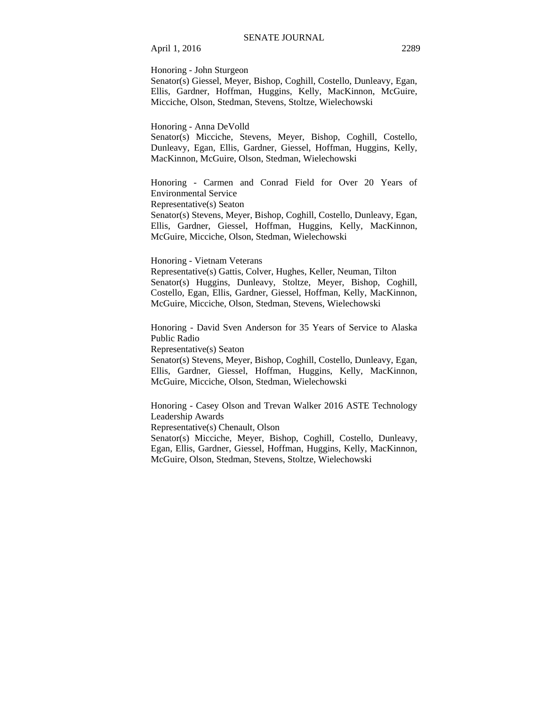# April 1, 2016 2289

Honoring - John Sturgeon

Senator(s) Giessel, Meyer, Bishop, Coghill, Costello, Dunleavy, Egan, Ellis, Gardner, Hoffman, Huggins, Kelly, MacKinnon, McGuire, Micciche, Olson, Stedman, Stevens, Stoltze, Wielechowski

Honoring - Anna DeVolld

Senator(s) Micciche, Stevens, Meyer, Bishop, Coghill, Costello, Dunleavy, Egan, Ellis, Gardner, Giessel, Hoffman, Huggins, Kelly, MacKinnon, McGuire, Olson, Stedman, Wielechowski

Honoring - Carmen and Conrad Field for Over 20 Years of Environmental Service

Representative(s) Seaton

Senator(s) Stevens, Meyer, Bishop, Coghill, Costello, Dunleavy, Egan, Ellis, Gardner, Giessel, Hoffman, Huggins, Kelly, MacKinnon, McGuire, Micciche, Olson, Stedman, Wielechowski

Honoring - Vietnam Veterans

Representative(s) Gattis, Colver, Hughes, Keller, Neuman, Tilton Senator(s) Huggins, Dunleavy, Stoltze, Meyer, Bishop, Coghill, Costello, Egan, Ellis, Gardner, Giessel, Hoffman, Kelly, MacKinnon, McGuire, Micciche, Olson, Stedman, Stevens, Wielechowski

Honoring - David Sven Anderson for 35 Years of Service to Alaska Public Radio

Representative(s) Seaton

Senator(s) Stevens, Meyer, Bishop, Coghill, Costello, Dunleavy, Egan, Ellis, Gardner, Giessel, Hoffman, Huggins, Kelly, MacKinnon, McGuire, Micciche, Olson, Stedman, Wielechowski

Honoring - Casey Olson and Trevan Walker 2016 ASTE Technology Leadership Awards

Representative(s) Chenault, Olson

Senator(s) Micciche, Meyer, Bishop, Coghill, Costello, Dunleavy, Egan, Ellis, Gardner, Giessel, Hoffman, Huggins, Kelly, MacKinnon, McGuire, Olson, Stedman, Stevens, Stoltze, Wielechowski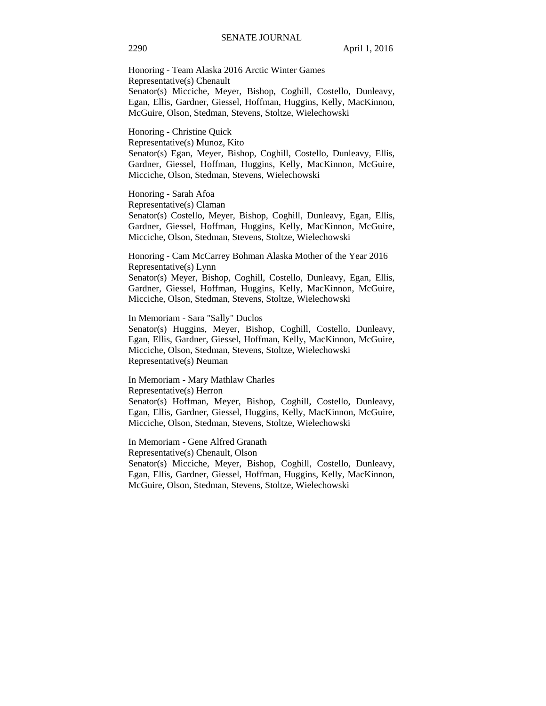Honoring - Team Alaska 2016 Arctic Winter Games Representative(s) Chenault Senator(s) Micciche, Meyer, Bishop, Coghill, Costello, Dunleavy, Egan, Ellis, Gardner, Giessel, Hoffman, Huggins, Kelly, MacKinnon, McGuire, Olson, Stedman, Stevens, Stoltze, Wielechowski

Honoring - Christine Quick Representative(s) Munoz, Kito Senator(s) Egan, Meyer, Bishop, Coghill, Costello, Dunleavy, Ellis, Gardner, Giessel, Hoffman, Huggins, Kelly, MacKinnon, McGuire, Micciche, Olson, Stedman, Stevens, Wielechowski

Honoring - Sarah Afoa Representative(s) Claman Senator(s) Costello, Meyer, Bishop, Coghill, Dunleavy, Egan, Ellis, Gardner, Giessel, Hoffman, Huggins, Kelly, MacKinnon, McGuire, Micciche, Olson, Stedman, Stevens, Stoltze, Wielechowski

Honoring - Cam McCarrey Bohman Alaska Mother of the Year 2016 Representative(s) Lynn Senator(s) Meyer, Bishop, Coghill, Costello, Dunleavy, Egan, Ellis, Gardner, Giessel, Hoffman, Huggins, Kelly, MacKinnon, McGuire, Micciche, Olson, Stedman, Stevens, Stoltze, Wielechowski

In Memoriam - Sara "Sally" Duclos Senator(s) Huggins, Meyer, Bishop, Coghill, Costello, Dunleavy, Egan, Ellis, Gardner, Giessel, Hoffman, Kelly, MacKinnon, McGuire, Micciche, Olson, Stedman, Stevens, Stoltze, Wielechowski

Representative(s) Neuman

In Memoriam - Mary Mathlaw Charles Representative(s) Herron Senator(s) Hoffman, Meyer, Bishop, Coghill, Costello, Dunleavy, Egan, Ellis, Gardner, Giessel, Huggins, Kelly, MacKinnon, McGuire, Micciche, Olson, Stedman, Stevens, Stoltze, Wielechowski

In Memoriam - Gene Alfred Granath Representative(s) Chenault, Olson Senator(s) Micciche, Meyer, Bishop, Coghill, Costello, Dunleavy, Egan, Ellis, Gardner, Giessel, Hoffman, Huggins, Kelly, MacKinnon, McGuire, Olson, Stedman, Stevens, Stoltze, Wielechowski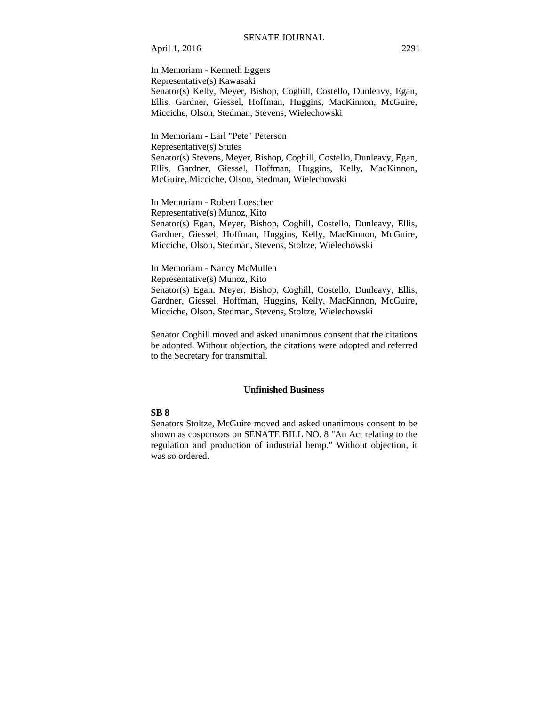April 1, 2016 2291

In Memoriam - Kenneth Eggers Representative(s) Kawasaki Senator(s) Kelly, Meyer, Bishop, Coghill, Costello, Dunleavy, Egan, Ellis, Gardner, Giessel, Hoffman, Huggins, MacKinnon, McGuire, Micciche, Olson, Stedman, Stevens, Wielechowski

In Memoriam - Earl "Pete" Peterson Representative(s) Stutes Senator(s) Stevens, Meyer, Bishop, Coghill, Costello, Dunleavy, Egan, Ellis, Gardner, Giessel, Hoffman, Huggins, Kelly, MacKinnon, McGuire, Micciche, Olson, Stedman, Wielechowski

In Memoriam - Robert Loescher Representative(s) Munoz, Kito Senator(s) Egan, Meyer, Bishop, Coghill, Costello, Dunleavy, Ellis, Gardner, Giessel, Hoffman, Huggins, Kelly, MacKinnon, McGuire, Micciche, Olson, Stedman, Stevens, Stoltze, Wielechowski

In Memoriam - Nancy McMullen Representative(s) Munoz, Kito Senator(s) Egan, Meyer, Bishop, Coghill, Costello, Dunleavy, Ellis, Gardner, Giessel, Hoffman, Huggins, Kelly, MacKinnon, McGuire, Micciche, Olson, Stedman, Stevens, Stoltze, Wielechowski

Senator Coghill moved and asked unanimous consent that the citations be adopted. Without objection, the citations were adopted and referred to the Secretary for transmittal.

### **Unfinished Business**

### **SB 8**

Senators Stoltze, McGuire moved and asked unanimous consent to be shown as cosponsors on SENATE BILL NO. 8 "An Act relating to the regulation and production of industrial hemp." Without objection, it was so ordered.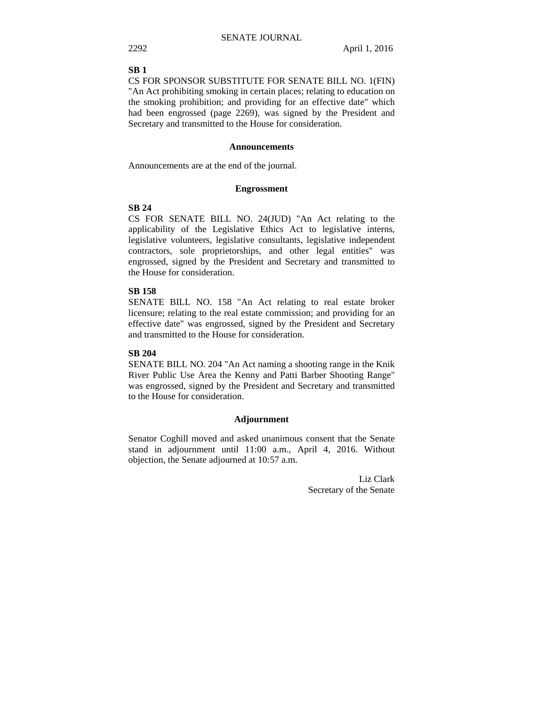### **SB 1**

CS FOR SPONSOR SUBSTITUTE FOR SENATE BILL NO. 1(FIN) "An Act prohibiting smoking in certain places; relating to education on the smoking prohibition; and providing for an effective date" which had been engrossed (page 2269), was signed by the President and Secretary and transmitted to the House for consideration.

### **Announcements**

Announcements are at the end of the journal.

### **Engrossment**

### **SB 24**

CS FOR SENATE BILL NO. 24(JUD) "An Act relating to the applicability of the Legislative Ethics Act to legislative interns, legislative volunteers, legislative consultants, legislative independent contractors, sole proprietorships, and other legal entities" was engrossed, signed by the President and Secretary and transmitted to the House for consideration.

### **SB 158**

SENATE BILL NO. 158 "An Act relating to real estate broker licensure; relating to the real estate commission; and providing for an effective date" was engrossed, signed by the President and Secretary and transmitted to the House for consideration.

### **SB 204**

SENATE BILL NO. 204 "An Act naming a shooting range in the Knik River Public Use Area the Kenny and Patti Barber Shooting Range" was engrossed, signed by the President and Secretary and transmitted to the House for consideration.

### **Adjournment**

Senator Coghill moved and asked unanimous consent that the Senate stand in adjournment until 11:00 a.m., April 4, 2016. Without objection, the Senate adjourned at 10:57 a.m.

> Liz Clark Secretary of the Senate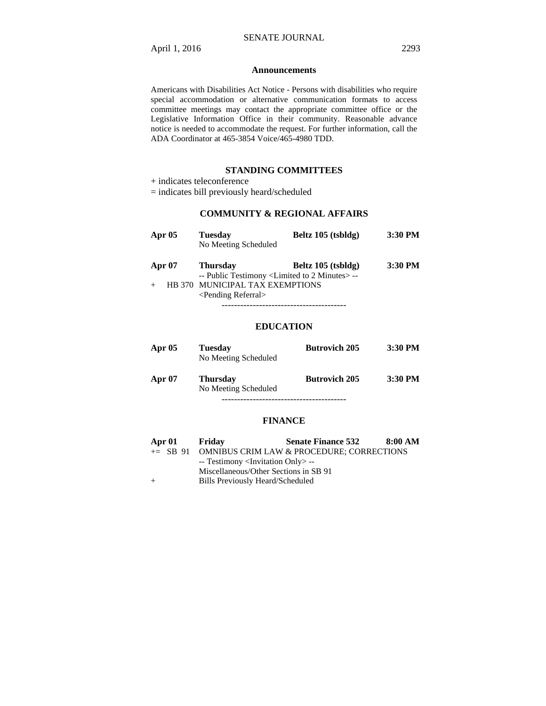### **Announcements**

Americans with Disabilities Act Notice - Persons with disabilities who require special accommodation or alternative communication formats to access committee meetings may contact the appropriate committee office or the Legislative Information Office in their community. Reasonable advance notice is needed to accommodate the request. For further information, call the ADA Coordinator at 465-3854 Voice/465-4980 TDD.

### **STANDING COMMITTEES**

+ indicates teleconference

= indicates bill previously heard/scheduled

# **COMMUNITY & REGIONAL AFFAIRS**

| Apr $05$ | <b>Tuesday</b><br>No Meeting Scheduled                                              | Beltz $105$ (tsbldg) | 3:30 PM |
|----------|-------------------------------------------------------------------------------------|----------------------|---------|
| Apr $07$ | <b>Thursday</b><br>-- Public Testimony <limited 2="" minutes="" to=""> --</limited> | Beltz 105 (tsbldg)   | 3:30 PM |
|          | HB 370 MUNICIPAL TAX EXEMPTIONS<br><pending referral=""></pending>                  |                      |         |
|          |                                                                                     |                      |         |

### **EDUCATION**

| Apr $05$ | <b>Tuesday</b><br>No Meeting Scheduled  | <b>Butrovich 205</b> | $3:30$ PM |
|----------|-----------------------------------------|----------------------|-----------|
| Apr 07   | <b>Thursday</b><br>No Meeting Scheduled | <b>Butrovich 205</b> | $3:30$ PM |
|          |                                         |                      |           |

### **FINANCE**

| Apr 01 | Friday                                            | <b>Senate Finance 532</b>                          | 8:00 AM |
|--------|---------------------------------------------------|----------------------------------------------------|---------|
|        |                                                   | += SB 91 OMNIBUS CRIM LAW & PROCEDURE; CORRECTIONS |         |
|        | -- Testimony <invitation only=""> --</invitation> |                                                    |         |
|        | Miscellaneous/Other Sections in SB 91             |                                                    |         |
| $+$    | Bills Previously Heard/Scheduled                  |                                                    |         |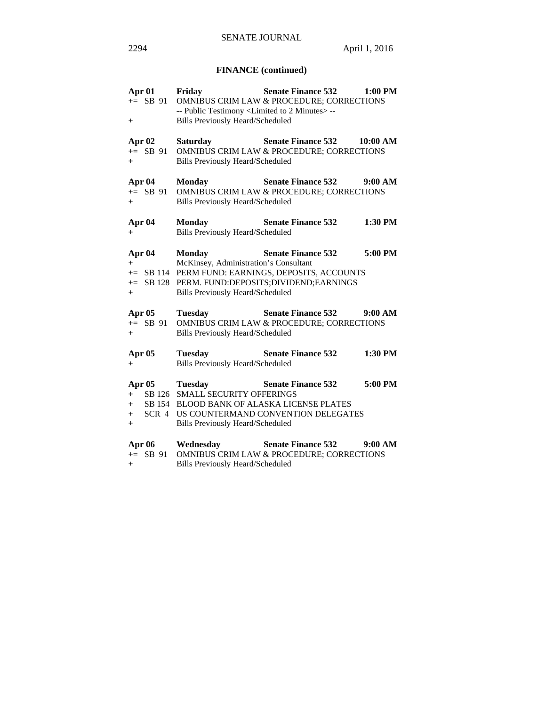# **FINANCE (continued)**

| Apr 01<br>$+=$ SB 91<br>$^{+}$                | Friday<br>-- Public Testimony <limited 2="" minutes="" to=""> --<br/><b>Bills Previously Heard/Scheduled</b></limited> | <b>Senate Finance 532</b><br>OMNIBUS CRIM LAW & PROCEDURE; CORRECTIONS                                                            | 1:00 PM  |
|-----------------------------------------------|------------------------------------------------------------------------------------------------------------------------|-----------------------------------------------------------------------------------------------------------------------------------|----------|
| Apr 02<br>$+=$ SB 91<br>$+$                   | <b>Saturday</b><br><b>Bills Previously Heard/Scheduled</b>                                                             | <b>Senate Finance 532</b><br>OMNIBUS CRIM LAW & PROCEDURE; CORRECTIONS                                                            | 10:00 AM |
| Apr 04<br>$+=$ SB 91<br>$+$                   | <b>Monday</b><br><b>Bills Previously Heard/Scheduled</b>                                                               | <b>Senate Finance 532</b><br>OMNIBUS CRIM LAW & PROCEDURE; CORRECTIONS                                                            | 9:00 AM  |
| Apr 04<br>$^{+}$                              | <b>Monday</b><br><b>Bills Previously Heard/Scheduled</b>                                                               | <b>Senate Finance 532</b>                                                                                                         | 1:30 PM  |
| Apr 04<br>$+$<br>$+$                          | <b>Monday</b><br>McKinsey, Administration's Consultant<br><b>Bills Previously Heard/Scheduled</b>                      | <b>Senate Finance 532</b><br>+= SB 114 PERM FUND: EARNINGS, DEPOSITS, ACCOUNTS<br>+= SB 128 PERM. FUND:DEPOSITS;DIVIDEND;EARNINGS | 5:00 PM  |
| Apr $05$<br>$+=$ SB 91<br>$+$                 | <b>Tuesday</b><br><b>Bills Previously Heard/Scheduled</b>                                                              | <b>Senate Finance 532</b><br>OMNIBUS CRIM LAW & PROCEDURE; CORRECTIONS                                                            | 9:00 AM  |
| Apr $05$<br>$+$                               | <b>Tuesday</b><br><b>Bills Previously Heard/Scheduled</b>                                                              | <b>Senate Finance 532</b>                                                                                                         | 1:30 PM  |
| Apr $05$<br>$+$<br>$+$<br>SCR 4<br>$+$<br>$+$ | <b>Tuesday</b><br>SB 126 SMALL SECURITY OFFERINGS<br><b>Bills Previously Heard/Scheduled</b>                           | <b>Senate Finance 532</b><br>SB 154 BLOOD BANK OF ALASKA LICENSE PLATES<br>US COUNTERMAND CONVENTION DELEGATES                    | 5:00 PM  |
| <b>Apr 06</b><br>$+=$ SB 91<br>$+$            | Wednesday<br><b>Bills Previously Heard/Scheduled</b>                                                                   | <b>Senate Finance 532</b><br>OMNIBUS CRIM LAW & PROCEDURE; CORRECTIONS                                                            | 9:00 AM  |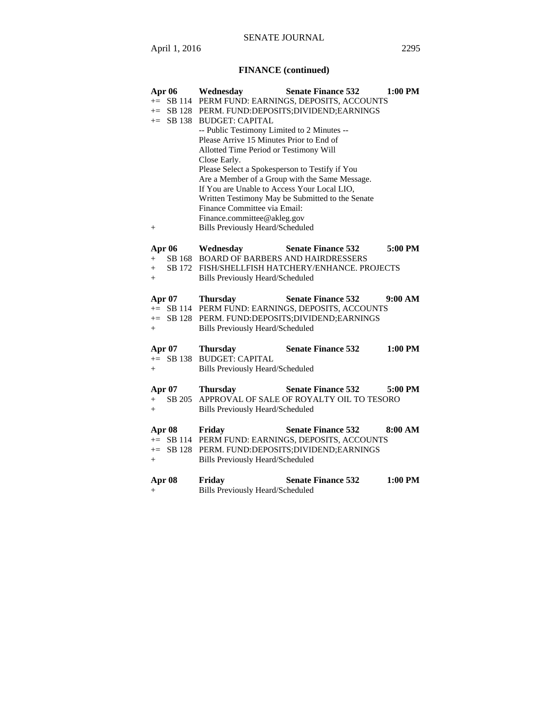# **FINANCE (continued)**

| += SB 114 PERM FUND: EARNINGS, DEPOSITS, ACCOUNTS<br>SB 128 PERM. FUND:DEPOSITS;DIVIDEND;EARNINGS<br>$+=$<br>SB 138<br><b>BUDGET: CAPITAL</b><br>$+=$<br>-- Public Testimony Limited to 2 Minutes --<br>Please Arrive 15 Minutes Prior to End of<br>Allotted Time Period or Testimony Will<br>Close Early.<br>Please Select a Spokesperson to Testify if You<br>Are a Member of a Group with the Same Message.<br>If You are Unable to Access Your Local LIO,<br>Written Testimony May be Submitted to the Senate<br>Finance Committee via Email:<br>Finance.committee@akleg.gov<br><b>Bills Previously Heard/Scheduled</b><br>$^{+}$<br><b>Apr 06</b><br>5:00 PM<br>Wednesday<br><b>Senate Finance 532</b><br>SB 168<br><b>BOARD OF BARBERS AND HAIRDRESSERS</b><br>$+$<br>SB 172<br>FISH/SHELLFISH HATCHERY/ENHANCE. PROJECTS<br>$+$<br>Bills Previously Heard/Scheduled<br>$^{+}$<br><b>Senate Finance 532</b><br>9:00 AM<br><b>Apr 07</b><br><b>Thursday</b><br>+= SB 114 PERM FUND: EARNINGS, DEPOSITS, ACCOUNTS<br>PERM. FUND:DEPOSITS;DIVIDEND;EARNINGS<br>$\pm $ SB 128<br><b>Bills Previously Heard/Scheduled</b><br>$+$<br><b>Senate Finance 532</b><br>1:00 PM<br>Apr $07$<br><b>Thursday</b><br>+= SB 138 BUDGET: CAPITAL<br><b>Bills Previously Heard/Scheduled</b><br>$^{+}$ |               | Wednesday<br><b>Senate Finance 532</b><br>1:00 PM       |  |  |
|--------------------------------------------------------------------------------------------------------------------------------------------------------------------------------------------------------------------------------------------------------------------------------------------------------------------------------------------------------------------------------------------------------------------------------------------------------------------------------------------------------------------------------------------------------------------------------------------------------------------------------------------------------------------------------------------------------------------------------------------------------------------------------------------------------------------------------------------------------------------------------------------------------------------------------------------------------------------------------------------------------------------------------------------------------------------------------------------------------------------------------------------------------------------------------------------------------------------------------------------------------------------------------------------|---------------|---------------------------------------------------------|--|--|
|                                                                                                                                                                                                                                                                                                                                                                                                                                                                                                                                                                                                                                                                                                                                                                                                                                                                                                                                                                                                                                                                                                                                                                                                                                                                                            |               |                                                         |  |  |
|                                                                                                                                                                                                                                                                                                                                                                                                                                                                                                                                                                                                                                                                                                                                                                                                                                                                                                                                                                                                                                                                                                                                                                                                                                                                                            |               |                                                         |  |  |
|                                                                                                                                                                                                                                                                                                                                                                                                                                                                                                                                                                                                                                                                                                                                                                                                                                                                                                                                                                                                                                                                                                                                                                                                                                                                                            |               |                                                         |  |  |
|                                                                                                                                                                                                                                                                                                                                                                                                                                                                                                                                                                                                                                                                                                                                                                                                                                                                                                                                                                                                                                                                                                                                                                                                                                                                                            |               |                                                         |  |  |
|                                                                                                                                                                                                                                                                                                                                                                                                                                                                                                                                                                                                                                                                                                                                                                                                                                                                                                                                                                                                                                                                                                                                                                                                                                                                                            |               |                                                         |  |  |
|                                                                                                                                                                                                                                                                                                                                                                                                                                                                                                                                                                                                                                                                                                                                                                                                                                                                                                                                                                                                                                                                                                                                                                                                                                                                                            |               |                                                         |  |  |
|                                                                                                                                                                                                                                                                                                                                                                                                                                                                                                                                                                                                                                                                                                                                                                                                                                                                                                                                                                                                                                                                                                                                                                                                                                                                                            |               |                                                         |  |  |
|                                                                                                                                                                                                                                                                                                                                                                                                                                                                                                                                                                                                                                                                                                                                                                                                                                                                                                                                                                                                                                                                                                                                                                                                                                                                                            |               |                                                         |  |  |
|                                                                                                                                                                                                                                                                                                                                                                                                                                                                                                                                                                                                                                                                                                                                                                                                                                                                                                                                                                                                                                                                                                                                                                                                                                                                                            |               |                                                         |  |  |
|                                                                                                                                                                                                                                                                                                                                                                                                                                                                                                                                                                                                                                                                                                                                                                                                                                                                                                                                                                                                                                                                                                                                                                                                                                                                                            |               |                                                         |  |  |
|                                                                                                                                                                                                                                                                                                                                                                                                                                                                                                                                                                                                                                                                                                                                                                                                                                                                                                                                                                                                                                                                                                                                                                                                                                                                                            |               |                                                         |  |  |
|                                                                                                                                                                                                                                                                                                                                                                                                                                                                                                                                                                                                                                                                                                                                                                                                                                                                                                                                                                                                                                                                                                                                                                                                                                                                                            |               |                                                         |  |  |
|                                                                                                                                                                                                                                                                                                                                                                                                                                                                                                                                                                                                                                                                                                                                                                                                                                                                                                                                                                                                                                                                                                                                                                                                                                                                                            |               |                                                         |  |  |
|                                                                                                                                                                                                                                                                                                                                                                                                                                                                                                                                                                                                                                                                                                                                                                                                                                                                                                                                                                                                                                                                                                                                                                                                                                                                                            |               |                                                         |  |  |
|                                                                                                                                                                                                                                                                                                                                                                                                                                                                                                                                                                                                                                                                                                                                                                                                                                                                                                                                                                                                                                                                                                                                                                                                                                                                                            |               |                                                         |  |  |
|                                                                                                                                                                                                                                                                                                                                                                                                                                                                                                                                                                                                                                                                                                                                                                                                                                                                                                                                                                                                                                                                                                                                                                                                                                                                                            |               |                                                         |  |  |
|                                                                                                                                                                                                                                                                                                                                                                                                                                                                                                                                                                                                                                                                                                                                                                                                                                                                                                                                                                                                                                                                                                                                                                                                                                                                                            |               |                                                         |  |  |
|                                                                                                                                                                                                                                                                                                                                                                                                                                                                                                                                                                                                                                                                                                                                                                                                                                                                                                                                                                                                                                                                                                                                                                                                                                                                                            |               |                                                         |  |  |
|                                                                                                                                                                                                                                                                                                                                                                                                                                                                                                                                                                                                                                                                                                                                                                                                                                                                                                                                                                                                                                                                                                                                                                                                                                                                                            |               |                                                         |  |  |
|                                                                                                                                                                                                                                                                                                                                                                                                                                                                                                                                                                                                                                                                                                                                                                                                                                                                                                                                                                                                                                                                                                                                                                                                                                                                                            |               |                                                         |  |  |
|                                                                                                                                                                                                                                                                                                                                                                                                                                                                                                                                                                                                                                                                                                                                                                                                                                                                                                                                                                                                                                                                                                                                                                                                                                                                                            |               |                                                         |  |  |
|                                                                                                                                                                                                                                                                                                                                                                                                                                                                                                                                                                                                                                                                                                                                                                                                                                                                                                                                                                                                                                                                                                                                                                                                                                                                                            |               |                                                         |  |  |
|                                                                                                                                                                                                                                                                                                                                                                                                                                                                                                                                                                                                                                                                                                                                                                                                                                                                                                                                                                                                                                                                                                                                                                                                                                                                                            |               |                                                         |  |  |
|                                                                                                                                                                                                                                                                                                                                                                                                                                                                                                                                                                                                                                                                                                                                                                                                                                                                                                                                                                                                                                                                                                                                                                                                                                                                                            |               |                                                         |  |  |
|                                                                                                                                                                                                                                                                                                                                                                                                                                                                                                                                                                                                                                                                                                                                                                                                                                                                                                                                                                                                                                                                                                                                                                                                                                                                                            |               |                                                         |  |  |
|                                                                                                                                                                                                                                                                                                                                                                                                                                                                                                                                                                                                                                                                                                                                                                                                                                                                                                                                                                                                                                                                                                                                                                                                                                                                                            |               |                                                         |  |  |
|                                                                                                                                                                                                                                                                                                                                                                                                                                                                                                                                                                                                                                                                                                                                                                                                                                                                                                                                                                                                                                                                                                                                                                                                                                                                                            |               |                                                         |  |  |
|                                                                                                                                                                                                                                                                                                                                                                                                                                                                                                                                                                                                                                                                                                                                                                                                                                                                                                                                                                                                                                                                                                                                                                                                                                                                                            |               |                                                         |  |  |
|                                                                                                                                                                                                                                                                                                                                                                                                                                                                                                                                                                                                                                                                                                                                                                                                                                                                                                                                                                                                                                                                                                                                                                                                                                                                                            |               |                                                         |  |  |
|                                                                                                                                                                                                                                                                                                                                                                                                                                                                                                                                                                                                                                                                                                                                                                                                                                                                                                                                                                                                                                                                                                                                                                                                                                                                                            |               |                                                         |  |  |
|                                                                                                                                                                                                                                                                                                                                                                                                                                                                                                                                                                                                                                                                                                                                                                                                                                                                                                                                                                                                                                                                                                                                                                                                                                                                                            |               |                                                         |  |  |
|                                                                                                                                                                                                                                                                                                                                                                                                                                                                                                                                                                                                                                                                                                                                                                                                                                                                                                                                                                                                                                                                                                                                                                                                                                                                                            | <b>Apr 07</b> | <b>Senate Finance 532</b><br><b>Thursday</b><br>5:00 PM |  |  |
|                                                                                                                                                                                                                                                                                                                                                                                                                                                                                                                                                                                                                                                                                                                                                                                                                                                                                                                                                                                                                                                                                                                                                                                                                                                                                            | SB 205<br>$+$ | APPROVAL OF SALE OF ROYALTY OIL TO TESORO               |  |  |
|                                                                                                                                                                                                                                                                                                                                                                                                                                                                                                                                                                                                                                                                                                                                                                                                                                                                                                                                                                                                                                                                                                                                                                                                                                                                                            | $+$           | <b>Bills Previously Heard/Scheduled</b>                 |  |  |
| += SB 114 PERM FUND: EARNINGS, DEPOSITS, ACCOUNTS                                                                                                                                                                                                                                                                                                                                                                                                                                                                                                                                                                                                                                                                                                                                                                                                                                                                                                                                                                                                                                                                                                                                                                                                                                          |               |                                                         |  |  |
|                                                                                                                                                                                                                                                                                                                                                                                                                                                                                                                                                                                                                                                                                                                                                                                                                                                                                                                                                                                                                                                                                                                                                                                                                                                                                            | <b>Apr 08</b> | <b>Senate Finance 532</b><br>8:00 AM<br>Friday          |  |  |
|                                                                                                                                                                                                                                                                                                                                                                                                                                                                                                                                                                                                                                                                                                                                                                                                                                                                                                                                                                                                                                                                                                                                                                                                                                                                                            |               |                                                         |  |  |
|                                                                                                                                                                                                                                                                                                                                                                                                                                                                                                                                                                                                                                                                                                                                                                                                                                                                                                                                                                                                                                                                                                                                                                                                                                                                                            | $+=$ SB 128   | PERM. FUND:DEPOSITS;DIVIDEND;EARNINGS                   |  |  |
|                                                                                                                                                                                                                                                                                                                                                                                                                                                                                                                                                                                                                                                                                                                                                                                                                                                                                                                                                                                                                                                                                                                                                                                                                                                                                            | $+$           | <b>Bills Previously Heard/Scheduled</b>                 |  |  |
| <b>Bills Previously Heard/Scheduled</b><br>$+$                                                                                                                                                                                                                                                                                                                                                                                                                                                                                                                                                                                                                                                                                                                                                                                                                                                                                                                                                                                                                                                                                                                                                                                                                                             | Apr 08        | <b>Senate Finance 532</b><br>1:00 PM<br>Friday          |  |  |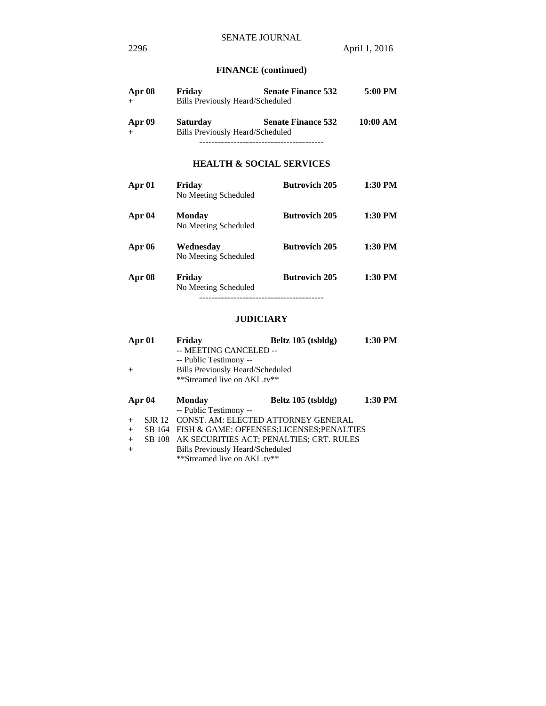# **FINANCE (continued)**

| Apr 08 | Friday                                  | <b>Senate Finance 532</b> | 5:00 PM  |
|--------|-----------------------------------------|---------------------------|----------|
| $+$    | <b>Bills Previously Heard/Scheduled</b> |                           |          |
| Apr 09 | <b>Saturday</b>                         | <b>Senate Finance 532</b> | 10:00 AM |
| $+$    | Bills Previously Heard/Scheduled        |                           |          |
|        |                                         |                           |          |

### **HEALTH & SOCIAL SERVICES**

| Apr 01        | Friday<br>No Meeting Scheduled        | <b>Butrovich 205</b> | $1:30$ PM |
|---------------|---------------------------------------|----------------------|-----------|
| Apr 04        | <b>Monday</b><br>No Meeting Scheduled | <b>Butrovich 205</b> | 1:30 PM   |
| <b>Apr 06</b> | Wednesdav<br>No Meeting Scheduled     | <b>Butrovich 205</b> | $1:30$ PM |
| Apr 08        | Friday<br>No Meeting Scheduled        | <b>Butrovich 205</b> | 1:30 PM   |

### **JUDICIARY**

| Apr 01<br>$^{+}$ |               | Friday<br>-- MEETING CANCELED --<br>-- Public Testimony --<br><b>Bills Previously Heard/Scheduled</b><br>**Streamed live on AKL.tv** | Beltz 105 (tsbldg) | 1:30 PM |
|------------------|---------------|--------------------------------------------------------------------------------------------------------------------------------------|--------------------|---------|
|                  | Apr 04        | Monday<br>-- Public Testimony --                                                                                                     | Beltz 105 (tsbldg) | 1:30 PM |
| $+$              | <b>SJR</b> 12 | <b>CONST. AM: ELECTED ATTORNEY GENERAL</b>                                                                                           |                    |         |
| $+$              |               | SB 164 FISH & GAME: OFFENSES; LICENSES; PENALTIES                                                                                    |                    |         |
| $+$              |               | SB 108 AK SECURITIES ACT; PENALTIES; CRT. RULES                                                                                      |                    |         |
| $+$              |               | <b>Bills Previously Heard/Scheduled</b>                                                                                              |                    |         |
|                  |               | **Streamed live on AKL.tv**                                                                                                          |                    |         |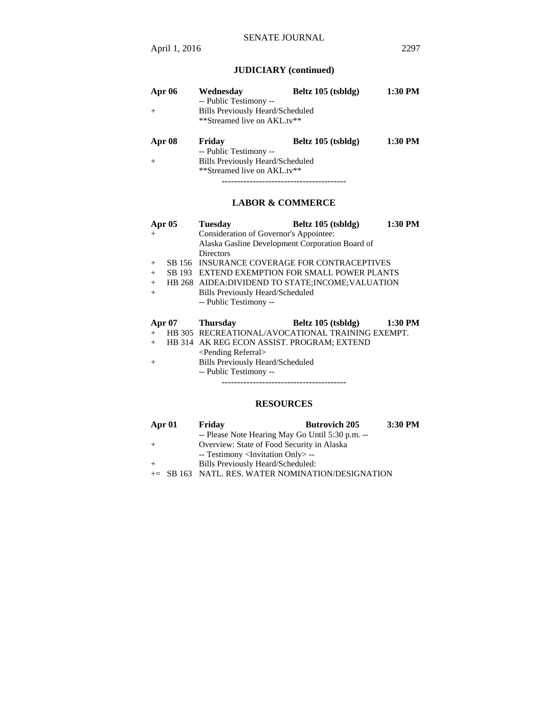# **JUDICIARY (continued)**

| Apr $06$ | Wednesday<br>-- Public Testimony --                                    | Beltz 105 (tsbldg) | 1:30 PM |
|----------|------------------------------------------------------------------------|--------------------|---------|
| $+$      | <b>Bills Previously Heard/Scheduled</b><br>**Streamed live on AKL.tv** |                    |         |
| Apr 08   | Friday                                                                 | Beltz 105 (tsbldg) | 1:30 PM |
|          | -- Public Testimony --                                                 |                    |         |
| $+$      | <b>Bills Previously Heard/Scheduled</b>                                |                    |         |
|          | **Streamed live on AKL.tv**                                            |                    |         |

----------------------------------------

# **LABOR & COMMERCE**

| Apr $05$ |               | <b>Tuesday</b>                                     | Beltz 105 (tsbldg) | 1:30 PM   |
|----------|---------------|----------------------------------------------------|--------------------|-----------|
| $+$      |               | Consideration of Governor's Appointee:             |                    |           |
|          |               | Alaska Gasline Development Corporation Board of    |                    |           |
|          |               | <b>Directors</b>                                   |                    |           |
| $+$      |               | SB 156 INSURANCE COVERAGE FOR CONTRACEPTIVES       |                    |           |
| $+$      |               | SB 193 EXTEND EXEMPTION FOR SMALL POWER PLANTS     |                    |           |
| $+$      |               | HB 268 AIDEA: DIVIDEND TO STATE: INCOME: VALUATION |                    |           |
| $+$      |               | <b>Bills Previously Heard/Scheduled</b>            |                    |           |
|          |               | -- Public Testimony --                             |                    |           |
|          |               |                                                    |                    |           |
|          | <b>Apr 07</b> | Thursdav                                           | Beltz 105 (tsbldg) | $1:30$ PM |
| $+$      |               | HB 305 RECREATIONAL/AVOCATIONAL TRAINING EXEMPT.   |                    |           |
| $+$      |               |                                                    |                    |           |
|          |               | HB 314 AK REG ECON ASSIST. PROGRAM; EXTEND         |                    |           |
|          |               | <pending referral=""></pending>                    |                    |           |
| $+$      |               | <b>Bills Previously Heard/Scheduled</b>            |                    |           |
|          |               | -- Public Testimony --                             |                    |           |
|          |               |                                                    |                    |           |

### **RESOURCES**

| Apr 01 | Friday                                            | <b>Butrovich 205</b> | 3:30 PM |
|--------|---------------------------------------------------|----------------------|---------|
|        | -- Please Note Hearing May Go Until 5:30 p.m. --  |                      |         |
| $+$    | Overview: State of Food Security in Alaska        |                      |         |
|        | -- Testimony <invitation only=""> --</invitation> |                      |         |
| $+$    | Bills Previously Heard/Scheduled:                 |                      |         |
|        | += SB 163 NATL. RES. WATER NOMINATION/DESIGNATION |                      |         |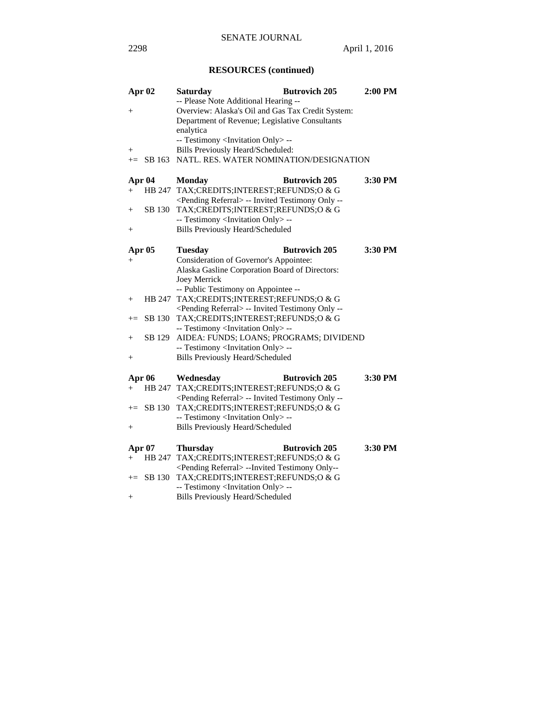# **RESOURCES (continued)**

| Apr 02             |        | <b>Saturday</b>                                              | <b>Butrovich 205</b> | $2:00$ PM |
|--------------------|--------|--------------------------------------------------------------|----------------------|-----------|
|                    |        | -- Please Note Additional Hearing --                         |                      |           |
| $\hspace{0.1mm} +$ |        | Overview: Alaska's Oil and Gas Tax Credit System:            |                      |           |
|                    |        | Department of Revenue; Legislative Consultants               |                      |           |
|                    |        | enalytica                                                    |                      |           |
|                    |        | -- Testimony <invitation only=""> --</invitation>            |                      |           |
| $\hspace{0.1mm} +$ |        | Bills Previously Heard/Scheduled:                            |                      |           |
| $+=$               | SB 163 | NATL. RES. WATER NOMINATION/DESIGNATION                      |                      |           |
| Apr 04             |        | <b>Monday</b>                                                | <b>Butrovich 205</b> | 3:30 PM   |
| $\hspace{0.1mm} +$ |        | HB 247 TAX;CREDITS;INTEREST;REFUNDS;O & G                    |                      |           |
|                    |        | <pending referral=""> -- Invited Testimony Only --</pending> |                      |           |
| $^{+}$             | SB 130 | TAX;CREDITS;INTEREST;REFUNDS;O & G                           |                      |           |
|                    |        | -- Testimony <invitation only=""> --</invitation>            |                      |           |
| $^+$               |        | <b>Bills Previously Heard/Scheduled</b>                      |                      |           |
|                    |        |                                                              |                      |           |
| <b>Apr 05</b>      |        | <b>Tuesday</b>                                               | <b>Butrovich 205</b> | 3:30 PM   |
| $+$                |        | Consideration of Governor's Appointee:                       |                      |           |
|                    |        | Alaska Gasline Corporation Board of Directors:               |                      |           |
|                    |        | <b>Joey Merrick</b>                                          |                      |           |
|                    |        | -- Public Testimony on Appointee --                          |                      |           |
| $+$                |        | HB 247 TAX; CREDITS; INTEREST; REFUNDS; O & G                |                      |           |
|                    |        | <pending referral=""> -- Invited Testimony Only --</pending> |                      |           |
| $+=$               | SB 130 | TAX;CREDITS;INTEREST;REFUNDS;O & G                           |                      |           |
|                    |        | -- Testimony <invitation only=""> --</invitation>            |                      |           |
| $\hspace{0.1mm} +$ | SB 129 | AIDEA: FUNDS; LOANS; PROGRAMS; DIVIDEND                      |                      |           |
|                    |        | -- Testimony <invitation only=""> --</invitation>            |                      |           |
| $\,{}^+$           |        | <b>Bills Previously Heard/Scheduled</b>                      |                      |           |
|                    | Apr 06 | Wednesday                                                    | <b>Butrovich 205</b> | 3:30 PM   |
| $^+$               |        | HB 247 TAX; CREDITS; INTEREST; REFUNDS; O & G                |                      |           |
|                    |        | <pending referral=""> -- Invited Testimony Only --</pending> |                      |           |
| $+=$               | SB 130 | TAX;CREDITS;INTEREST;REFUNDS;O & G                           |                      |           |
|                    |        | -- Testimony <invitation only=""> --</invitation>            |                      |           |
| $^+$               |        | <b>Bills Previously Heard/Scheduled</b>                      |                      |           |
| <b>Apr 07</b>      |        | <b>Thursday</b>                                              | <b>Butrovich 205</b> | 3:30 PM   |
| $^{+}$             |        | HB 247 TAX;CREDITS;INTEREST;REFUNDS;O & G                    |                      |           |
|                    |        | <pending referral=""> --Invited Testimony Only--</pending>   |                      |           |
| $+=$               | SB 130 | TAX;CREDITS;INTEREST;REFUNDS;O & G                           |                      |           |
|                    |        | -- Testimony <invitation only=""> --</invitation>            |                      |           |
| $\hspace{0.1mm} +$ |        | <b>Bills Previously Heard/Scheduled</b>                      |                      |           |
|                    |        |                                                              |                      |           |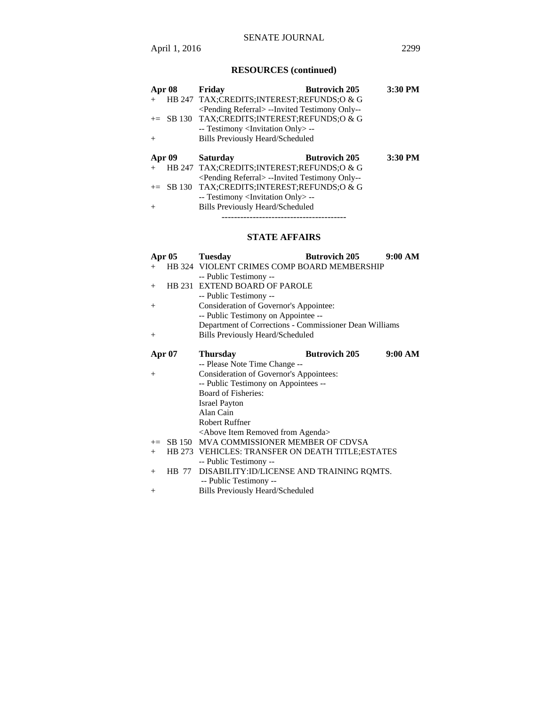# **RESOURCES (continued)**

| Apr 08        | Friday                                                     | <b>Butrovich 205</b> | 3:30 PM |
|---------------|------------------------------------------------------------|----------------------|---------|
| $+$           | HB 247 TAX;CREDITS;INTEREST;REFUNDS;O & G                  |                      |         |
|               | <pending referral=""> --Invited Testimony Only--</pending> |                      |         |
|               | $+=$ SB 130 TAX;CREDITS;INTEREST;REFUNDS;O & G             |                      |         |
|               | -- Testimony <invitation only=""> --</invitation>          |                      |         |
| $^{+}$        | <b>Bills Previously Heard/Scheduled</b>                    |                      |         |
|               |                                                            |                      |         |
|               |                                                            |                      |         |
| <b>Apr 09</b> | <b>Saturday</b>                                            | <b>Butrovich 205</b> | 3:30 PM |
|               | HB 247 TAX;CREDITS;INTEREST;REFUNDS;O & G                  |                      |         |
|               | <pending referral=""> --Invited Testimony Only--</pending> |                      |         |
|               | $+=$ SB 130 TAX;CREDITS;INTEREST;REFUNDS;O & G             |                      |         |
|               | -- Testimony <invitation only=""> --</invitation>          |                      |         |

----------------------------------------

# **STATE AFFAIRS**

|        | <b>Apr 05</b> | <b>Tuesday</b>                                         | <b>Butrovich 205</b> | 9:00 AM |
|--------|---------------|--------------------------------------------------------|----------------------|---------|
| $+$    |               | HB 324 VIOLENT CRIMES COMP BOARD MEMBERSHIP            |                      |         |
|        |               | -- Public Testimony --                                 |                      |         |
| $^{+}$ |               | <b>HB 231 EXTEND BOARD OF PAROLE</b>                   |                      |         |
|        |               | -- Public Testimony --                                 |                      |         |
| $^{+}$ |               | Consideration of Governor's Appointee:                 |                      |         |
|        |               | -- Public Testimony on Appointee --                    |                      |         |
|        |               | Department of Corrections - Commissioner Dean Williams |                      |         |
| $^{+}$ |               | <b>Bills Previously Heard/Scheduled</b>                |                      |         |
|        |               |                                                        |                      |         |
|        | <b>Apr 07</b> | <b>Thursday</b>                                        | <b>Butrovich 205</b> | 9:00 AM |
|        |               | -- Please Note Time Change --                          |                      |         |
| $+$    |               | <b>Consideration of Governor's Appointees:</b>         |                      |         |
|        |               | -- Public Testimony on Appointees --                   |                      |         |
|        |               | Board of Fisheries:                                    |                      |         |
|        |               | <b>Israel Payton</b>                                   |                      |         |
|        |               | Alan Cain                                              |                      |         |
|        |               | <b>Robert Ruffner</b>                                  |                      |         |
|        |               | <above agenda="" from="" item="" removed=""></above>   |                      |         |
| $+=$   | SB 150        | MVA COMMISSIONER MEMBER OF CDVSA                       |                      |         |
| $+$    |               | HB 273 VEHICLES: TRANSFER ON DEATH TITLE; ESTATES      |                      |         |
|        |               | -- Public Testimony --                                 |                      |         |
| $+$    | <b>HB</b> 77  | DISABILITY: ID/LICENSE AND TRAINING ROMTS.             |                      |         |
|        |               | -- Public Testimony --                                 |                      |         |
| $^{+}$ |               | <b>Bills Previously Heard/Scheduled</b>                |                      |         |